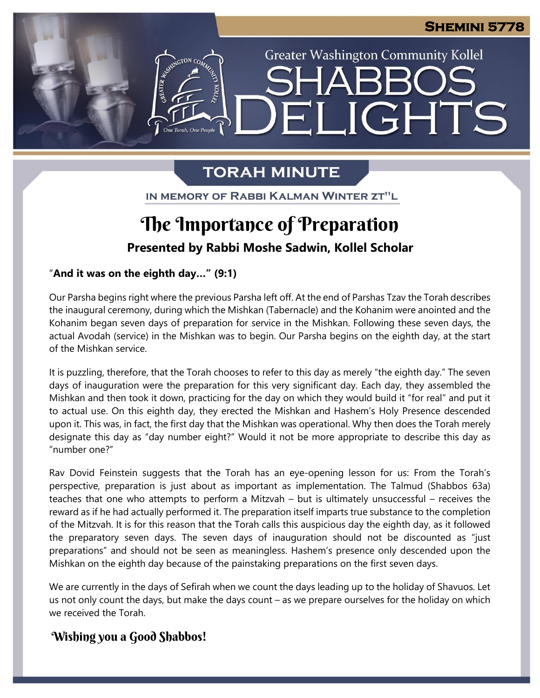**Greater Washington Community Kollel** 

**\_IGHTS** 

# **TORAH MINUTE**

 $\blacksquare$ 

IN MEMORY OF RABBI KALMAN WINTER ZT"L

### Ĭ, **The Importance of Preparation**

**Presented by Rabbi Moshe Sadwin, Kollel Scholar**

"**And it was on the eighth day…" (9:1)**

n<br>e Torah. One People

Our Parsha begins right where the previous Parsha left off. At the end of Parshas Tzav the Torah describes the inaugural ceremony, during which the Mishkan (Tabernacle) and the Kohanim were anointed and the Kohanim began seven days of preparation for service in the Mishkan. Following these seven days, the **pre** actual Avodah (service) in the Mishkan was to begin. Our Parsha begins on the eighth day, at the start of the Mishkan service. **Pre**

It is puzzling, therefore, that the Torah chooses to refer to this day as merely "the eighth day." The seven days of inauguration were the preparation for this very significant day. Each day, they assembled the Mishkan and then took it down, practicing for the day on which they would build it "for real" and put it to actual use. On this eighth day, they erected the Mishkan and Hashem's Holy Presence descended upon it. This was, in fact, the first day that the Mishkan was operational. Why then does the Torah merely designate this day as "day number eight?" Would it not be more appropriate to describe this day as "number one?"

Rav Dovid Feinstein suggests that the Torah has an eye-opening lesson for us: From the Torah's perspective, preparation is just about as important as implementation. The Talmud (Shabbos 63a) teaches that one who attempts to perform a Mitzvah – but is ultimately unsuccessful – receives the reward as if he had actually performed it. The preparation itself imparts true substance to the completion of the Mitzvah. It is for this reason that the Torah calls this auspicious day the eighth day, as it followed the preparatory seven days. The seven days of inauguration should not be discounted as "just preparations" and should not be seen as meaningless. Hashem's presence only descended upon the Mishkan on the eighth day because of the painstaking preparations on the first seven days.

We are currently in the days of Sefirah when we count the days leading up to the holiday of Shavuos. Let us not only count the days, but make the days count – as we prepare ourselves for the holiday on which we received the Torah.

### **Wishing you a Good Shabbos!**